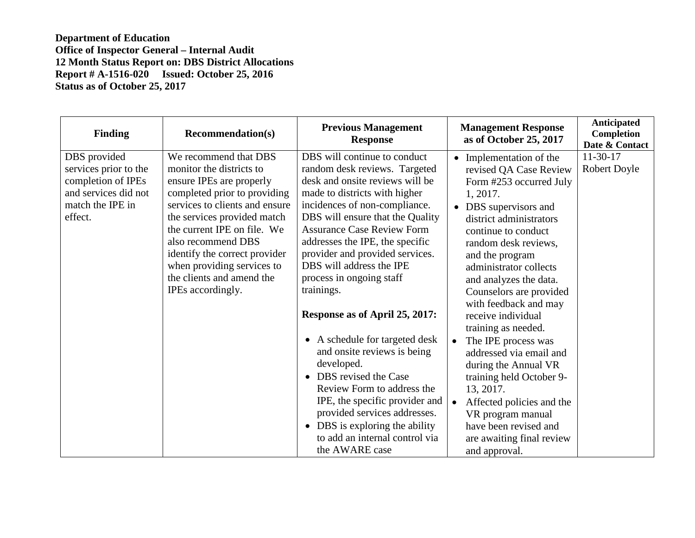| <b>Finding</b>                                                                                                     | <b>Recommendation(s)</b>                                                                                                                                                                                                                                                                                                                             | <b>Previous Management</b><br><b>Response</b>                                                                                                                                                                                                                                                                                                                                                                                                                                                                                                                                                                                                                                                                                     | <b>Management Response</b><br>as of October 25, 2017                                                                                                                                                                                                                                                                                                                                                                                                                                                                                                                                                        | <b>Anticipated</b><br>Completion<br>Date & Contact |
|--------------------------------------------------------------------------------------------------------------------|------------------------------------------------------------------------------------------------------------------------------------------------------------------------------------------------------------------------------------------------------------------------------------------------------------------------------------------------------|-----------------------------------------------------------------------------------------------------------------------------------------------------------------------------------------------------------------------------------------------------------------------------------------------------------------------------------------------------------------------------------------------------------------------------------------------------------------------------------------------------------------------------------------------------------------------------------------------------------------------------------------------------------------------------------------------------------------------------------|-------------------------------------------------------------------------------------------------------------------------------------------------------------------------------------------------------------------------------------------------------------------------------------------------------------------------------------------------------------------------------------------------------------------------------------------------------------------------------------------------------------------------------------------------------------------------------------------------------------|----------------------------------------------------|
| DBS provided<br>services prior to the<br>completion of IPEs<br>and services did not<br>match the IPE in<br>effect. | We recommend that DBS<br>monitor the districts to<br>ensure IPEs are properly<br>completed prior to providing<br>services to clients and ensure<br>the services provided match<br>the current IPE on file. We<br>also recommend DBS<br>identify the correct provider<br>when providing services to<br>the clients and amend the<br>IPEs accordingly. | DBS will continue to conduct<br>random desk reviews. Targeted<br>desk and onsite reviews will be<br>made to districts with higher<br>incidences of non-compliance.<br>DBS will ensure that the Quality<br><b>Assurance Case Review Form</b><br>addresses the IPE, the specific<br>provider and provided services.<br>DBS will address the IPE<br>process in ongoing staff<br>trainings.<br>Response as of April 25, 2017:<br>A schedule for targeted desk<br>$\bullet$<br>and onsite reviews is being<br>developed.<br>DBS revised the Case<br>Review Form to address the<br>IPE, the specific provider and<br>provided services addresses.<br>• DBS is exploring the ability<br>to add an internal control via<br>the AWARE case | Implementation of the<br>revised QA Case Review<br>Form #253 occurred July<br>1, 2017.<br>DBS supervisors and<br>district administrators<br>continue to conduct<br>random desk reviews,<br>and the program<br>administrator collects<br>and analyzes the data.<br>Counselors are provided<br>with feedback and may<br>receive individual<br>training as needed.<br>The IPE process was<br>addressed via email and<br>during the Annual VR<br>training held October 9-<br>13, 2017.<br>Affected policies and the<br>VR program manual<br>have been revised and<br>are awaiting final review<br>and approval. | $11-30-17$<br>Robert Doyle                         |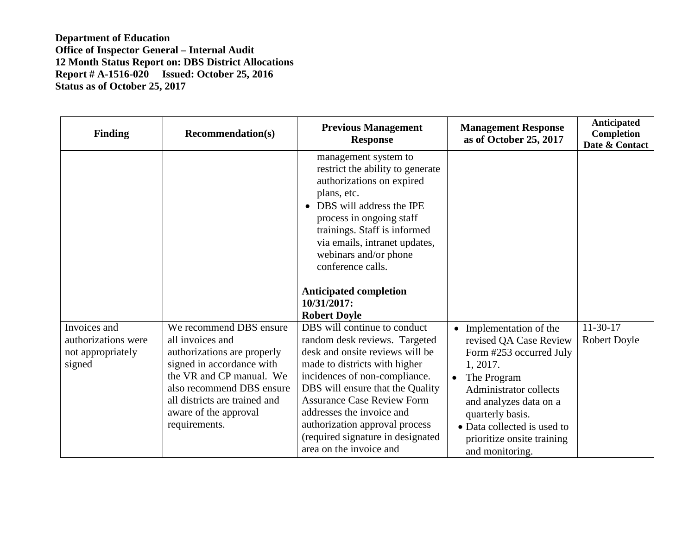| <b>Finding</b>                                                     | <b>Recommendation(s)</b>                                                                                                                                                                                                                    | <b>Previous Management</b><br><b>Response</b>                                                                                                                                                                                                                                                                                                                              | <b>Management Response</b><br>as of October 25, 2017                                                                                                                                                                                                                       | Anticipated<br>Completion<br>Date & Contact |
|--------------------------------------------------------------------|---------------------------------------------------------------------------------------------------------------------------------------------------------------------------------------------------------------------------------------------|----------------------------------------------------------------------------------------------------------------------------------------------------------------------------------------------------------------------------------------------------------------------------------------------------------------------------------------------------------------------------|----------------------------------------------------------------------------------------------------------------------------------------------------------------------------------------------------------------------------------------------------------------------------|---------------------------------------------|
|                                                                    |                                                                                                                                                                                                                                             | management system to<br>restrict the ability to generate<br>authorizations on expired<br>plans, etc.<br>DBS will address the IPE<br>process in ongoing staff<br>trainings. Staff is informed<br>via emails, intranet updates,<br>webinars and/or phone<br>conference calls.<br><b>Anticipated completion</b><br>10/31/2017:<br><b>Robert Doyle</b>                         |                                                                                                                                                                                                                                                                            |                                             |
| Invoices and<br>authorizations were<br>not appropriately<br>signed | We recommend DBS ensure<br>all invoices and<br>authorizations are properly<br>signed in accordance with<br>the VR and CP manual. We<br>also recommend DBS ensure<br>all districts are trained and<br>aware of the approval<br>requirements. | DBS will continue to conduct<br>random desk reviews. Targeted<br>desk and onsite reviews will be<br>made to districts with higher<br>incidences of non-compliance.<br>DBS will ensure that the Quality<br><b>Assurance Case Review Form</b><br>addresses the invoice and<br>authorization approval process<br>(required signature in designated<br>area on the invoice and | Implementation of the<br>revised QA Case Review<br>Form #253 occurred July<br>1, 2017.<br>The Program<br>$\bullet$<br>Administrator collects<br>and analyzes data on a<br>quarterly basis.<br>• Data collected is used to<br>prioritize onsite training<br>and monitoring. | $11-30-17$<br><b>Robert Doyle</b>           |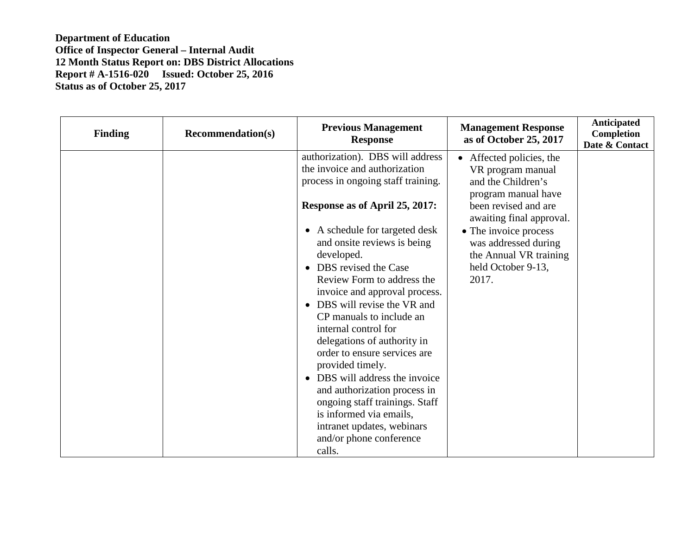| <b>Finding</b> | <b>Recommendation(s)</b> | <b>Previous Management</b><br><b>Response</b>                                                                                                                                                                                                                                                                                                                                                                                                                                                                                                                         | <b>Management Response</b><br>as of October 25, 2017                                                                                                       | <b>Anticipated</b><br>Completion<br>Date & Contact |
|----------------|--------------------------|-----------------------------------------------------------------------------------------------------------------------------------------------------------------------------------------------------------------------------------------------------------------------------------------------------------------------------------------------------------------------------------------------------------------------------------------------------------------------------------------------------------------------------------------------------------------------|------------------------------------------------------------------------------------------------------------------------------------------------------------|----------------------------------------------------|
|                |                          | authorization). DBS will address<br>the invoice and authorization<br>process in ongoing staff training.                                                                                                                                                                                                                                                                                                                                                                                                                                                               | • Affected policies, the<br>VR program manual<br>and the Children's<br>program manual have                                                                 |                                                    |
|                |                          | Response as of April 25, 2017:<br>• A schedule for targeted desk<br>and onsite reviews is being<br>developed.<br>• DBS revised the Case<br>Review Form to address the<br>invoice and approval process.<br>• DBS will revise the VR and<br>CP manuals to include an<br>internal control for<br>delegations of authority in<br>order to ensure services are<br>provided timely.<br>• DBS will address the invoice<br>and authorization process in<br>ongoing staff trainings. Staff<br>is informed via emails,<br>intranet updates, webinars<br>and/or phone conference | been revised and are<br>awaiting final approval.<br>• The invoice process<br>was addressed during<br>the Annual VR training<br>held October 9-13,<br>2017. |                                                    |
|                |                          | calls.                                                                                                                                                                                                                                                                                                                                                                                                                                                                                                                                                                |                                                                                                                                                            |                                                    |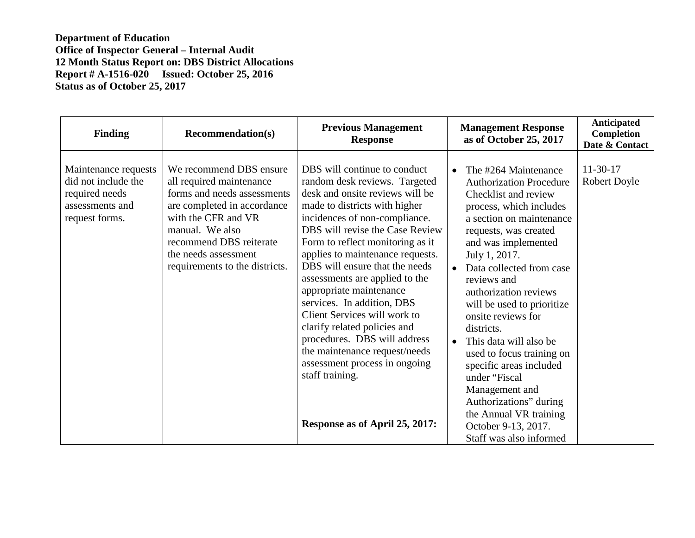| <b>Finding</b>                                                                                     | <b>Recommendation(s)</b>                                                                                                                                                                                                                         | <b>Previous Management</b><br><b>Response</b>                                                                                                                                                                                                                                                                                                                                                                                                                                                                                                                                                                                     | <b>Management Response</b><br>as of October 25, 2017                                                                                                                                                                                                                                                                                                                                                                                                                                                                                                                                              | Anticipated<br>Completion<br>Date & Contact |
|----------------------------------------------------------------------------------------------------|--------------------------------------------------------------------------------------------------------------------------------------------------------------------------------------------------------------------------------------------------|-----------------------------------------------------------------------------------------------------------------------------------------------------------------------------------------------------------------------------------------------------------------------------------------------------------------------------------------------------------------------------------------------------------------------------------------------------------------------------------------------------------------------------------------------------------------------------------------------------------------------------------|---------------------------------------------------------------------------------------------------------------------------------------------------------------------------------------------------------------------------------------------------------------------------------------------------------------------------------------------------------------------------------------------------------------------------------------------------------------------------------------------------------------------------------------------------------------------------------------------------|---------------------------------------------|
| Maintenance requests<br>did not include the<br>required needs<br>assessments and<br>request forms. | We recommend DBS ensure<br>all required maintenance<br>forms and needs assessments<br>are completed in accordance<br>with the CFR and VR<br>manual. We also<br>recommend DBS reiterate<br>the needs assessment<br>requirements to the districts. | DBS will continue to conduct<br>random desk reviews. Targeted<br>desk and onsite reviews will be<br>made to districts with higher<br>incidences of non-compliance.<br>DBS will revise the Case Review<br>Form to reflect monitoring as it<br>applies to maintenance requests.<br>DBS will ensure that the needs<br>assessments are applied to the<br>appropriate maintenance<br>services. In addition, DBS<br>Client Services will work to<br>clarify related policies and<br>procedures. DBS will address<br>the maintenance request/needs<br>assessment process in ongoing<br>staff training.<br>Response as of April 25, 2017: | The #264 Maintenance<br>$\bullet$<br><b>Authorization Procedure</b><br>Checklist and review<br>process, which includes<br>a section on maintenance<br>requests, was created<br>and was implemented<br>July 1, 2017.<br>Data collected from case<br>reviews and<br>authorization reviews<br>will be used to prioritize<br>onsite reviews for<br>districts.<br>This data will also be<br>$\bullet$<br>used to focus training on<br>specific areas included<br>under "Fiscal<br>Management and<br>Authorizations" during<br>the Annual VR training<br>October 9-13, 2017.<br>Staff was also informed | $11-30-17$<br><b>Robert Doyle</b>           |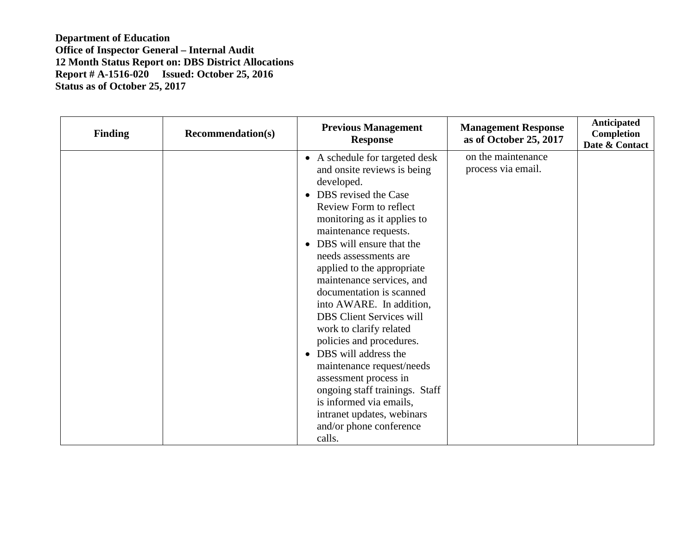| <b>Finding</b> | <b>Recommendation(s)</b> | <b>Previous Management</b><br><b>Response</b>                                                                                                                                                                                                                                                                                                                                                                                                                                                                                                                                                                                                                           | <b>Management Response</b><br>as of October 25, 2017 | <b>Anticipated</b><br><b>Completion</b><br>Date & Contact |
|----------------|--------------------------|-------------------------------------------------------------------------------------------------------------------------------------------------------------------------------------------------------------------------------------------------------------------------------------------------------------------------------------------------------------------------------------------------------------------------------------------------------------------------------------------------------------------------------------------------------------------------------------------------------------------------------------------------------------------------|------------------------------------------------------|-----------------------------------------------------------|
|                |                          | • A schedule for targeted desk<br>and onsite reviews is being<br>developed.<br>DBS revised the Case<br>Review Form to reflect<br>monitoring as it applies to<br>maintenance requests.<br>DBS will ensure that the<br>needs assessments are<br>applied to the appropriate<br>maintenance services, and<br>documentation is scanned<br>into AWARE. In addition,<br><b>DBS Client Services will</b><br>work to clarify related<br>policies and procedures.<br>• DBS will address the<br>maintenance request/needs<br>assessment process in<br>ongoing staff trainings. Staff<br>is informed via emails,<br>intranet updates, webinars<br>and/or phone conference<br>calls. | on the maintenance<br>process via email.             |                                                           |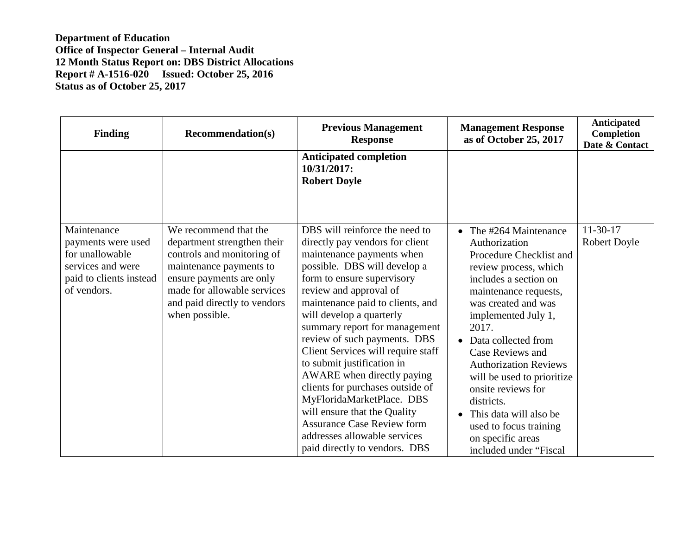| <b>Finding</b>                                                                                       | <b>Recommendation(s)</b>                                                                                                                                                                          | <b>Previous Management</b><br><b>Response</b>                                                                                                                                                                                                                                                                                                                                                                                                                                                                                                                                                  | <b>Management Response</b><br>as of October 25, 2017                                                                                                                                                                                                                                                                                                                                                                       | Anticipated<br>Completion<br>Date & Contact |
|------------------------------------------------------------------------------------------------------|---------------------------------------------------------------------------------------------------------------------------------------------------------------------------------------------------|------------------------------------------------------------------------------------------------------------------------------------------------------------------------------------------------------------------------------------------------------------------------------------------------------------------------------------------------------------------------------------------------------------------------------------------------------------------------------------------------------------------------------------------------------------------------------------------------|----------------------------------------------------------------------------------------------------------------------------------------------------------------------------------------------------------------------------------------------------------------------------------------------------------------------------------------------------------------------------------------------------------------------------|---------------------------------------------|
| Maintenance                                                                                          | We recommend that the                                                                                                                                                                             | <b>Anticipated completion</b><br>10/31/2017:<br><b>Robert Doyle</b><br>DBS will reinforce the need to                                                                                                                                                                                                                                                                                                                                                                                                                                                                                          | The #264 Maintenance                                                                                                                                                                                                                                                                                                                                                                                                       | $11-30-17$                                  |
| payments were used<br>for unallowable<br>services and were<br>paid to clients instead<br>of vendors. | department strengthen their<br>controls and monitoring of<br>maintenance payments to<br>ensure payments are only<br>made for allowable services<br>and paid directly to vendors<br>when possible. | directly pay vendors for client<br>maintenance payments when<br>possible. DBS will develop a<br>form to ensure supervisory<br>review and approval of<br>maintenance paid to clients, and<br>will develop a quarterly<br>summary report for management<br>review of such payments. DBS<br>Client Services will require staff<br>to submit justification in<br>AWARE when directly paying<br>clients for purchases outside of<br>MyFloridaMarketPlace. DBS<br>will ensure that the Quality<br><b>Assurance Case Review form</b><br>addresses allowable services<br>paid directly to vendors. DBS | Authorization<br>Procedure Checklist and<br>review process, which<br>includes a section on<br>maintenance requests,<br>was created and was<br>implemented July 1,<br>2017.<br>Data collected from<br>Case Reviews and<br><b>Authorization Reviews</b><br>will be used to prioritize<br>onsite reviews for<br>districts.<br>This data will also be<br>used to focus training<br>on specific areas<br>included under "Fiscal | <b>Robert Doyle</b>                         |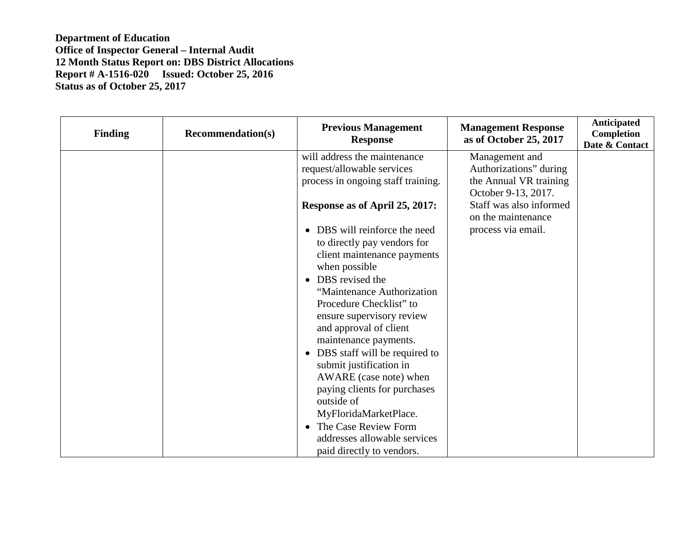| <b>Finding</b> | <b>Recommendation(s)</b> | <b>Previous Management</b><br><b>Response</b>                                                                                                                                                                                                                                                                                                                                                                                                                              | <b>Management Response</b><br>as of October 25, 2017                                      | Anticipated<br>Completion<br>Date & Contact |
|----------------|--------------------------|----------------------------------------------------------------------------------------------------------------------------------------------------------------------------------------------------------------------------------------------------------------------------------------------------------------------------------------------------------------------------------------------------------------------------------------------------------------------------|-------------------------------------------------------------------------------------------|---------------------------------------------|
|                |                          | will address the maintenance<br>request/allowable services<br>process in ongoing staff training.                                                                                                                                                                                                                                                                                                                                                                           | Management and<br>Authorizations" during<br>the Annual VR training<br>October 9-13, 2017. |                                             |
|                |                          | Response as of April 25, 2017:<br>DBS will reinforce the need<br>to directly pay vendors for<br>client maintenance payments<br>when possible<br>• DBS revised the<br>"Maintenance Authorization"<br>Procedure Checklist" to<br>ensure supervisory review<br>and approval of client<br>maintenance payments.<br>• DBS staff will be required to<br>submit justification in<br>AWARE (case note) when<br>paying clients for purchases<br>outside of<br>MyFloridaMarketPlace. | Staff was also informed<br>on the maintenance<br>process via email.                       |                                             |
|                |                          | The Case Review Form<br>addresses allowable services<br>paid directly to vendors.                                                                                                                                                                                                                                                                                                                                                                                          |                                                                                           |                                             |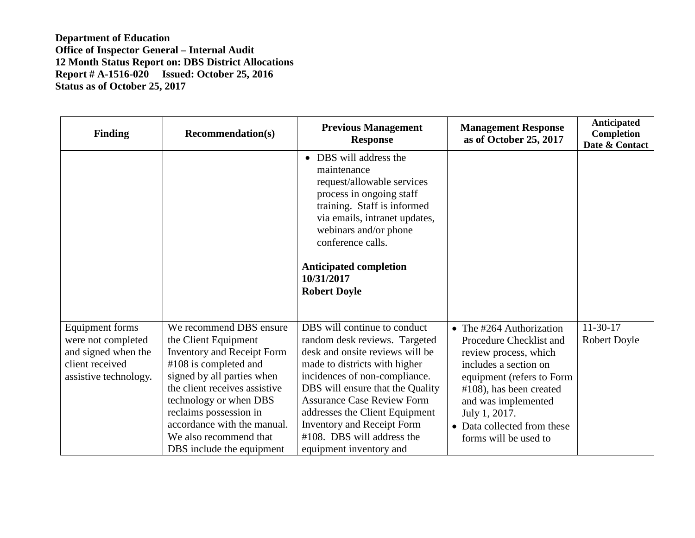| <b>Finding</b>                                                                                           | <b>Recommendation(s)</b>                                                                                                                                                                                                                                                                                                 | <b>Previous Management</b><br><b>Response</b>                                                                                                                                                                                                                                                                                                                               | <b>Management Response</b><br>as of October 25, 2017                                                                                                                                                                                                             | Anticipated<br>Completion<br>Date & Contact |
|----------------------------------------------------------------------------------------------------------|--------------------------------------------------------------------------------------------------------------------------------------------------------------------------------------------------------------------------------------------------------------------------------------------------------------------------|-----------------------------------------------------------------------------------------------------------------------------------------------------------------------------------------------------------------------------------------------------------------------------------------------------------------------------------------------------------------------------|------------------------------------------------------------------------------------------------------------------------------------------------------------------------------------------------------------------------------------------------------------------|---------------------------------------------|
|                                                                                                          |                                                                                                                                                                                                                                                                                                                          | • DBS will address the<br>maintenance<br>request/allowable services<br>process in ongoing staff<br>training. Staff is informed<br>via emails, intranet updates,<br>webinars and/or phone<br>conference calls.<br><b>Anticipated completion</b><br>10/31/2017<br><b>Robert Doyle</b>                                                                                         |                                                                                                                                                                                                                                                                  |                                             |
| Equipment forms<br>were not completed<br>and signed when the<br>client received<br>assistive technology. | We recommend DBS ensure<br>the Client Equipment<br><b>Inventory and Receipt Form</b><br>$#108$ is completed and<br>signed by all parties when<br>the client receives assistive<br>technology or when DBS<br>reclaims possession in<br>accordance with the manual.<br>We also recommend that<br>DBS include the equipment | DBS will continue to conduct<br>random desk reviews. Targeted<br>desk and onsite reviews will be<br>made to districts with higher<br>incidences of non-compliance.<br>DBS will ensure that the Quality<br><b>Assurance Case Review Form</b><br>addresses the Client Equipment<br><b>Inventory and Receipt Form</b><br>#108. DBS will address the<br>equipment inventory and | • The $\#264$ Authorization<br>Procedure Checklist and<br>review process, which<br>includes a section on<br>equipment (refers to Form<br>$#108$ , has been created<br>and was implemented<br>July 1, 2017.<br>Data collected from these<br>forms will be used to | $11-30-17$<br><b>Robert Doyle</b>           |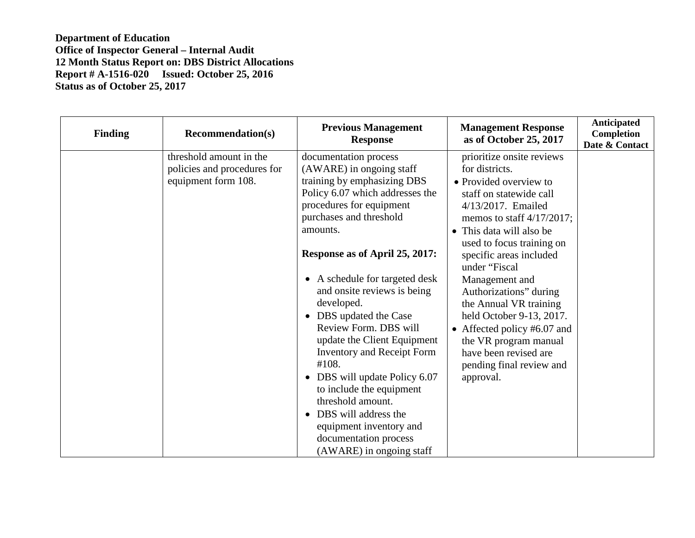| <b>Finding</b> | <b>Recommendation(s)</b>                                                      | <b>Previous Management</b><br><b>Response</b>                                                                                                                                                                                                                                                                                                                                                                                                                                                                                                                                                                                   | <b>Management Response</b><br>as of October 25, 2017                                                                                                                                                                                                                                                                                                                                                                                                                                    | Anticipated<br>Completion<br>Date & Contact |
|----------------|-------------------------------------------------------------------------------|---------------------------------------------------------------------------------------------------------------------------------------------------------------------------------------------------------------------------------------------------------------------------------------------------------------------------------------------------------------------------------------------------------------------------------------------------------------------------------------------------------------------------------------------------------------------------------------------------------------------------------|-----------------------------------------------------------------------------------------------------------------------------------------------------------------------------------------------------------------------------------------------------------------------------------------------------------------------------------------------------------------------------------------------------------------------------------------------------------------------------------------|---------------------------------------------|
|                | threshold amount in the<br>policies and procedures for<br>equipment form 108. | documentation process<br>(AWARE) in ongoing staff<br>training by emphasizing DBS<br>Policy 6.07 which addresses the<br>procedures for equipment<br>purchases and threshold<br>amounts.<br>Response as of April 25, 2017:<br>• A schedule for targeted desk<br>and onsite reviews is being<br>developed.<br>• DBS updated the Case<br>Review Form. DBS will<br>update the Client Equipment<br><b>Inventory and Receipt Form</b><br>#108.<br>DBS will update Policy 6.07<br>to include the equipment<br>threshold amount.<br>DBS will address the<br>equipment inventory and<br>documentation process<br>(AWARE) in ongoing staff | prioritize onsite reviews<br>for districts.<br>• Provided overview to<br>staff on statewide call<br>4/13/2017. Emailed<br>memos to staff $4/17/2017$ ;<br>• This data will also be<br>used to focus training on<br>specific areas included<br>under "Fiscal<br>Management and<br>Authorizations" during<br>the Annual VR training<br>held October 9-13, 2017.<br>• Affected policy #6.07 and<br>the VR program manual<br>have been revised are<br>pending final review and<br>approval. |                                             |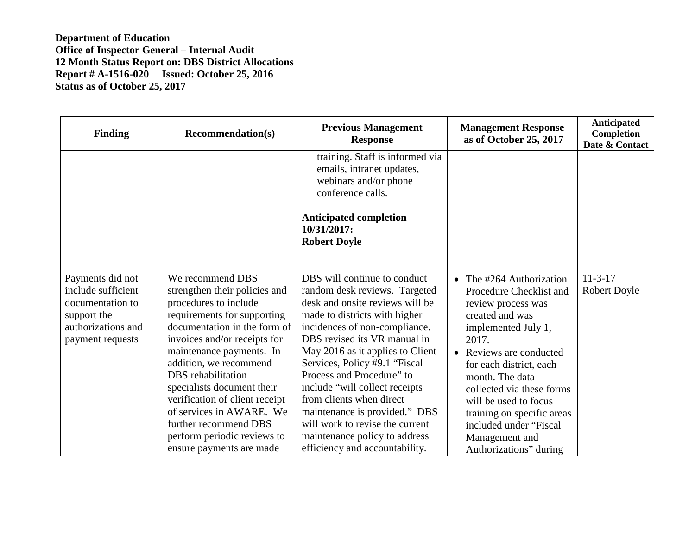| <b>Finding</b>                                                                                                      | <b>Recommendation(s)</b>                                                                                                                                                                                                                                                                                                                                                                                                              | <b>Previous Management</b><br><b>Response</b>                                                                                                                                                                                                                                                                                                                                                                                                                                                              | <b>Management Response</b><br>as of October 25, 2017                                                                                                                                                                                                                                                                                                               | Anticipated<br><b>Completion</b><br>Date & Contact |
|---------------------------------------------------------------------------------------------------------------------|---------------------------------------------------------------------------------------------------------------------------------------------------------------------------------------------------------------------------------------------------------------------------------------------------------------------------------------------------------------------------------------------------------------------------------------|------------------------------------------------------------------------------------------------------------------------------------------------------------------------------------------------------------------------------------------------------------------------------------------------------------------------------------------------------------------------------------------------------------------------------------------------------------------------------------------------------------|--------------------------------------------------------------------------------------------------------------------------------------------------------------------------------------------------------------------------------------------------------------------------------------------------------------------------------------------------------------------|----------------------------------------------------|
|                                                                                                                     |                                                                                                                                                                                                                                                                                                                                                                                                                                       | training. Staff is informed via<br>emails, intranet updates,<br>webinars and/or phone<br>conference calls.<br><b>Anticipated completion</b><br>10/31/2017:<br><b>Robert Doyle</b>                                                                                                                                                                                                                                                                                                                          |                                                                                                                                                                                                                                                                                                                                                                    |                                                    |
| Payments did not<br>include sufficient<br>documentation to<br>support the<br>authorizations and<br>payment requests | We recommend DBS<br>strengthen their policies and<br>procedures to include<br>requirements for supporting<br>documentation in the form of<br>invoices and/or receipts for<br>maintenance payments. In<br>addition, we recommend<br>DBS rehabilitation<br>specialists document their<br>verification of client receipt<br>of services in AWARE. We<br>further recommend DBS<br>perform periodic reviews to<br>ensure payments are made | DBS will continue to conduct<br>random desk reviews. Targeted<br>desk and onsite reviews will be<br>made to districts with higher<br>incidences of non-compliance.<br>DBS revised its VR manual in<br>May 2016 as it applies to Client<br>Services, Policy #9.1 "Fiscal<br>Process and Procedure" to<br>include "will collect receipts"<br>from clients when direct<br>maintenance is provided." DBS<br>will work to revise the current<br>maintenance policy to address<br>efficiency and accountability. | • The $\#264$ Authorization<br>Procedure Checklist and<br>review process was<br>created and was<br>implemented July 1,<br>2017.<br>• Reviews are conducted<br>for each district, each<br>month. The data<br>collected via these forms<br>will be used to focus<br>training on specific areas<br>included under "Fiscal<br>Management and<br>Authorizations" during | $11 - 3 - 17$<br><b>Robert Doyle</b>               |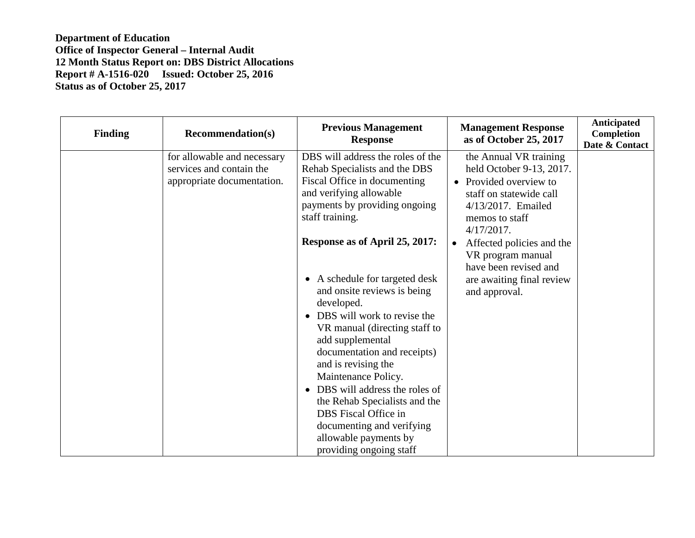| <b>Finding</b> | <b>Recommendation(s)</b>                                                              | <b>Previous Management</b><br><b>Response</b>                                                                                                                                                                                                                                                                                                                                                                                                                                                                                                                                                                        | <b>Management Response</b><br>as of October 25, 2017                                                                                                                                                                                                                                                 | Anticipated<br>Completion<br>Date & Contact |
|----------------|---------------------------------------------------------------------------------------|----------------------------------------------------------------------------------------------------------------------------------------------------------------------------------------------------------------------------------------------------------------------------------------------------------------------------------------------------------------------------------------------------------------------------------------------------------------------------------------------------------------------------------------------------------------------------------------------------------------------|------------------------------------------------------------------------------------------------------------------------------------------------------------------------------------------------------------------------------------------------------------------------------------------------------|---------------------------------------------|
|                | for allowable and necessary<br>services and contain the<br>appropriate documentation. | DBS will address the roles of the<br>Rehab Specialists and the DBS<br>Fiscal Office in documenting<br>and verifying allowable<br>payments by providing ongoing<br>staff training.<br>Response as of April 25, 2017:<br>• A schedule for targeted desk<br>and onsite reviews is being<br>developed.<br>DBS will work to revise the<br>$\bullet$<br>VR manual (directing staff to<br>add supplemental<br>documentation and receipts)<br>and is revising the<br>Maintenance Policy.<br>DBS will address the roles of<br>$\bullet$<br>the Rehab Specialists and the<br>DBS Fiscal Office in<br>documenting and verifying | the Annual VR training<br>held October 9-13, 2017.<br>Provided overview to<br>staff on statewide call<br>4/13/2017. Emailed<br>memos to staff<br>$4/17/2017$ .<br>Affected policies and the<br>$\bullet$<br>VR program manual<br>have been revised and<br>are awaiting final review<br>and approval. |                                             |
|                |                                                                                       | allowable payments by<br>providing ongoing staff                                                                                                                                                                                                                                                                                                                                                                                                                                                                                                                                                                     |                                                                                                                                                                                                                                                                                                      |                                             |